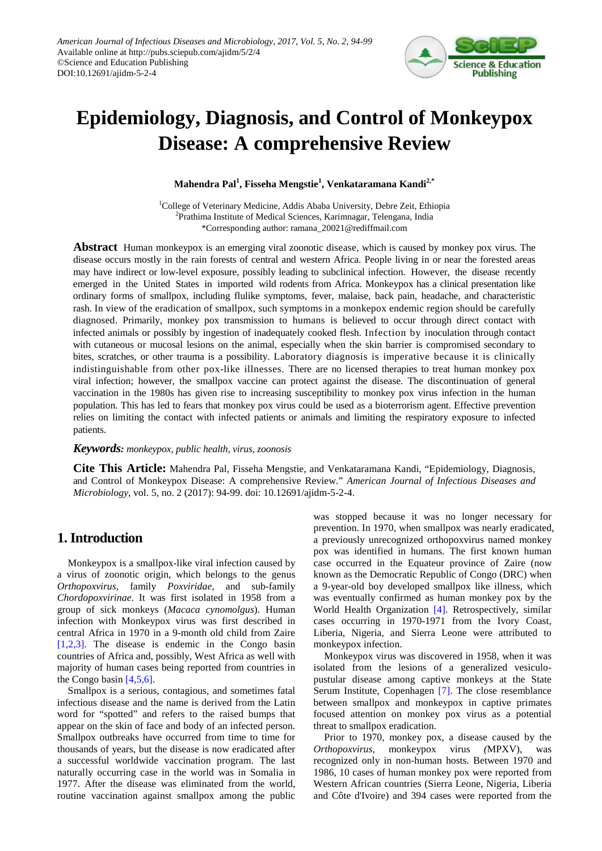

# **Epidemiology, Diagnosis, and Control of Monkeypox Disease: A comprehensive Review**

**Mahendra Pal1 , Fisseha Mengstie<sup>1</sup> , Venkataramana Kandi2,\***

<sup>1</sup>College of Veterinary Medicine, Addis Ababa University, Debre Zeit, Ethiopia <sup>2</sup>Prathima Institute of Medical Sciences, Karimnagar, Telengana, India \*Corresponding author: ramana\_20021@rediffmail.com

**Abstract** Human monkeypox is an emerging viral zoonotic disease, which is caused by monkey pox virus. The disease occurs mostly in the rain forests of central and western Africa. People living in or near the forested areas may have indirect or low-level exposure, possibly leading to subclinical infection. However, the disease recently emerged in the United States in imported wild rodents from Africa. Monkeypox has a clinical presentation like ordinary forms of smallpox, including flulike symptoms, fever, malaise, back pain, headache, and characteristic rash. In view of the eradication of smallpox, such symptoms in a monkepox endemic region should be carefully diagnosed. Primarily, monkey pox transmission to humans is believed to occur through direct contact with infected animals or possibly by ingestion of inadequately cooked flesh. Infection by inoculation through contact with cutaneous or mucosal lesions on the animal, especially when the skin barrier is compromised secondary to bites, scratches, or other trauma is a possibility. Laboratory diagnosis is imperative because it is clinically indistinguishable from other pox-like illnesses. There are no licensed therapies to treat human monkey pox viral infection; however, the smallpox vaccine can protect against the disease. The discontinuation of general vaccination in the 1980s has given rise to increasing susceptibility to monkey pox virus infection in the human population. This has led to fears that monkey pox virus could be used as a bioterrorism agent. Effective prevention relies on limiting the contact with infected patients or animals and limiting the respiratory exposure to infected patients.

#### *Keywords: monkeypox, public health, virus, zoonosis*

**Cite This Article:** Mahendra Pal, Fisseha Mengstie, and Venkataramana Kandi, "Epidemiology, Diagnosis, and Control of Monkeypox Disease: A comprehensive Review." *American Journal of Infectious Diseases and Microbiology*, vol. 5, no. 2 (2017): 94-99. doi: 10.12691/ajidm-5-2-4.

## **1. Introduction**

Monkeypox is a smallpox-like viral infection caused by a virus of zoonotic origin, which belongs to the genus *Orthopoxvirus*, family *Poxviridae*, and sub-family *Chordopoxvirinae*. It was first isolated in 1958 from a group of sick monkeys (*Macaca cynomolgus*). Human infection with Monkeypox virus was first described in central Africa in 1970 in a 9-month old child from Zaire [\[1,2,3\].](#page-5-0) The disease is endemic in the Congo basin countries of Africa and, possibly, West Africa as well with majority of human cases being reported from countries in the Congo basin  $[4,5,6]$ .

Smallpox is a serious, contagious, and sometimes fatal infectious disease and the name is derived from the Latin word for "spotted" and refers to the raised bumps that appear on the skin of face and body of an infected person. Smallpox outbreaks have occurred from time to time for thousands of years, but the disease is now eradicated after a successful worldwide vaccination program. The last naturally occurring case in the world was in Somalia in 1977. After the disease was eliminated from the world, routine vaccination against smallpox among the public

was stopped because it was no longer necessary for prevention. In 1970, when smallpox was nearly eradicated, a previously unrecognized orthopoxvirus named monkey pox was identified in humans. The first known human case occurred in the Equateur province of Zaire (now known as the Democratic Republic of Congo (DRC) when a 9-year-old boy developed smallpox like illness, which was eventually confirmed as human monkey pox by the World Health Organization [\[4\].](#page-5-1) Retrospectively, similar cases occurring in 1970-1971 from the Ivory Coast, Liberia, Nigeria, and Sierra Leone were attributed to monkeypox infection.

Monkeypox virus was discovered in 1958, when it was isolated from the lesions of a generalized vesiculopustular disease among captive monkeys at the State Serum Institute, Copenhagen [\[7\].](#page-5-2) The close resemblance between smallpox and monkeypox in captive primates focused attention on monkey pox virus as a potential threat to smallpox eradication.

Prior to 1970, monkey pox, a disease caused by the *Orthopoxvirus*, monkeypox virus *(*MPXV), was recognized only in non-human hosts. Between 1970 and 1986, 10 cases of human monkey pox were reported from Western African countries (Sierra Leone, Nigeria, Liberia and Côte d'Ivoire) and 394 cases were reported from the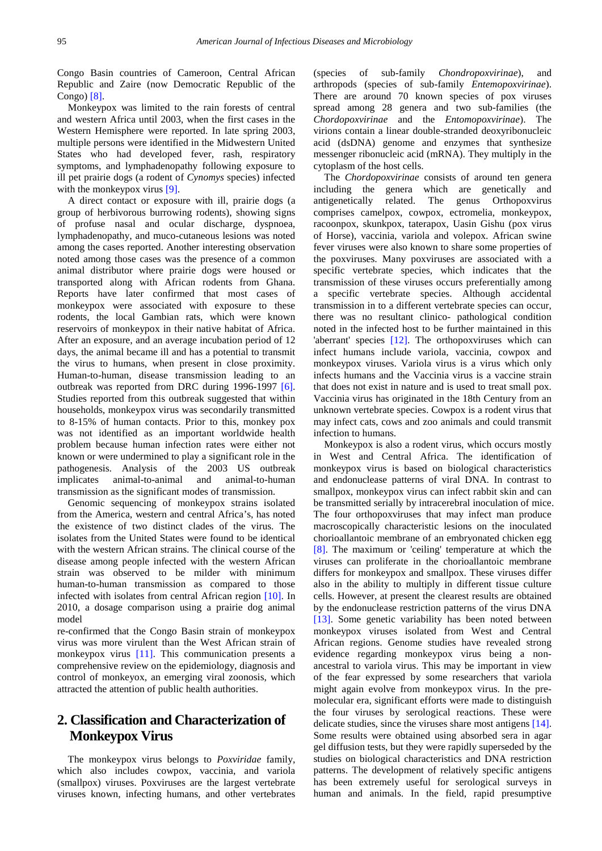Congo Basin countries of Cameroon, Central African Republic and Zaire (now Democratic Republic of the Congo) [\[8\].](#page-5-3)

Monkeypox was limited to the rain forests of central and western Africa until 2003, when the first cases in the Western Hemisphere were reported. In late spring 2003, multiple persons were identified in the Midwestern United States who had developed fever, rash, respiratory symptoms, and lymphadenopathy following exposure to ill pet prairie dogs (a rodent of *Cynomys* species) infected with the monkeypox virus [\[9\].](#page-5-4)

A direct contact or exposure with ill, prairie dogs (a group of herbivorous burrowing rodents), showing signs of profuse nasal and ocular discharge, dyspnoea, lymphadenopathy, and muco-cutaneous lesions was noted among the cases reported. Another interesting observation noted among those cases was the presence of a common animal distributor where prairie dogs were housed or transported along with African rodents from Ghana. Reports have later confirmed that most cases of monkeypox were associated with exposure to these rodents, the local Gambian rats, which were known reservoirs of monkeypox in their native habitat of Africa. After an exposure, and an average incubation period of 12 days, the animal became ill and has a potential to transmit the virus to humans, when present in close proximity. Human-to-human, disease transmission leading to an outbreak was reported from DRC during 1996-1997 [\[6\].](#page-5-5) Studies reported from this outbreak suggested that within households, monkeypox virus was secondarily transmitted to 8-15% of human contacts. Prior to this, monkey pox was not identified as an important worldwide health problem because human infection rates were either not known or were undermined to play a significant role in the pathogenesis. Analysis of the 2003 US outbreak implicates animal-to-animal and animal-to-human transmission as the significant modes of transmission.

Genomic sequencing of monkeypox strains isolated from the America, western and central Africa's, has noted the existence of two distinct clades of the virus. The isolates from the United States were found to be identical with the western African strains. The clinical course of the disease among people infected with the western African strain was observed to be milder with minimum human-to-human transmission as compared to those infected with isolates from central African region [\[10\].](#page-5-6) In 2010, a dosage comparison using a prairie dog animal model

re-confirmed that the Congo Basin strain of monkeypox virus was more virulent than the West African strain of monkeypox virus [\[11\].](#page-5-7) This communication presents a comprehensive review on the epidemiology, diagnosis and control of monkeyox, an emerging viral zoonosis, which attracted the attention of public health authorities.

# **2. Classification and Characterization of Monkeypox Virus**

The monkeypox virus belongs to *Poxviridae* family, which also includes cowpox, vaccinia, and variola (smallpox) viruses. Poxviruses are the largest vertebrate viruses known, infecting humans, and other vertebrates (species of sub-family *Chondropoxvirinae*), and arthropods (species of sub-family *Entemopoxvirinae*). There are around 70 known species of pox viruses spread among 28 genera and two sub-families (the *Chordopoxvirinae* and the *Entomopoxvirinae*). The virions contain a linear double-stranded deoxyribonucleic acid (dsDNA) genome and enzymes that synthesize messenger ribonucleic acid (mRNA). They multiply in the cytoplasm of the host cells.

The *Chordopoxvirinae* consists of around ten genera including the genera which are genetically and antigenetically related. The genus Orthopoxvirus comprises camelpox, cowpox, ectromelia, monkeypox, racoonpox, skunkpox, taterapox, Uasin Gishu (pox virus of Horse), vaccinia, variola and volepox. African swine fever viruses were also known to share some properties of the poxviruses. Many poxviruses are associated with a specific vertebrate species, which indicates that the transmission of these viruses occurs preferentially among a specific vertebrate species. Although accidental transmission in to a different vertebrate species can occur, there was no resultant clinico- pathological condition noted in the infected host to be further maintained in this 'aberrant' species [\[12\].](#page-5-8) The orthopoxviruses which can infect humans include variola, vaccinia, cowpox and monkeypox viruses. Variola virus is a virus which only infects humans and the Vaccinia virus is a vaccine strain that does not exist in nature and is used to treat small pox. Vaccinia virus has originated in the 18th Century from an unknown vertebrate species. Cowpox is a rodent virus that may infect cats, cows and zoo animals and could transmit infection to humans.

Monkeypox is also a rodent virus, which occurs mostly in West and Central Africa. The identification of monkeypox virus is based on biological characteristics and endonuclease patterns of viral DNA. In contrast to smallpox, monkeypox virus can infect rabbit skin and can be transmitted serially by intracerebral inoculation of mice. The four orthopoxviruses that may infect man produce macroscopically characteristic lesions on the inoculated chorioallantoic membrane of an embryonated chicken egg [\[8\].](#page-5-3) The maximum or 'ceiling' temperature at which the viruses can proliferate in the chorioallantoic membrane differs for monkeypox and smallpox. These viruses differ also in the ability to multiply in different tissue culture cells. However, at present the clearest results are obtained by the endonuclease restriction patterns of the virus DNA [\[13\].](#page-5-9) Some genetic variability has been noted between monkeypox viruses isolated from West and Central African regions. Genome studies have revealed strong evidence regarding monkeypox virus being a nonancestral to variola virus. This may be important in view of the fear expressed by some researchers that variola might again evolve from monkeypox virus. In the premolecular era, significant efforts were made to distinguish the four viruses by serological reactions. These were delicate studies, since the viruses share most antigens [\[14\].](#page-5-10) Some results were obtained using absorbed sera in agar gel diffusion tests, but they were rapidly superseded by the studies on biological characteristics and DNA restriction patterns. The development of relatively specific antigens has been extremely useful for serological surveys in human and animals. In the field, rapid presumptive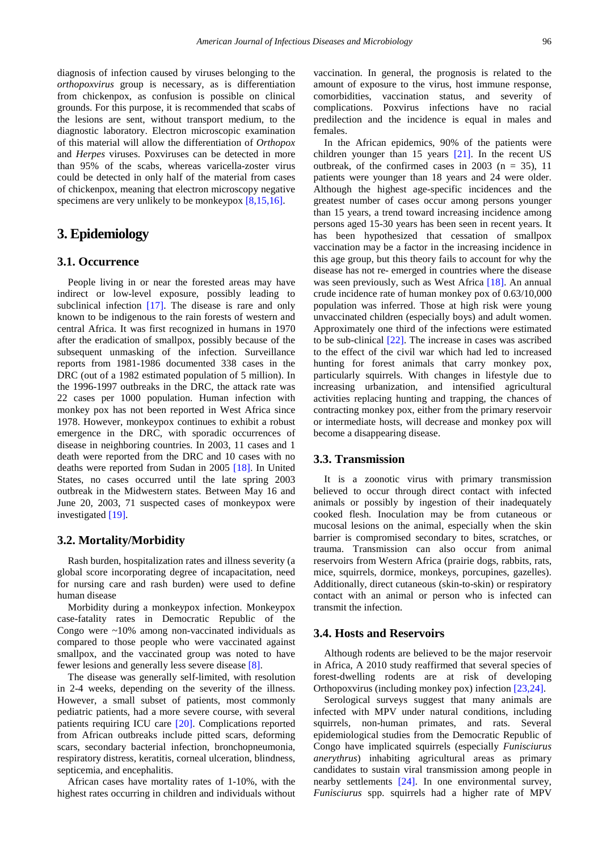diagnosis of infection caused by viruses belonging to the *orthopoxvirus* group is necessary, as is differentiation from chickenpox, as confusion is possible on clinical grounds. For this purpose, it is recommended that scabs of the lesions are sent, without transport medium, to the diagnostic laboratory. Electron microscopic examination of this material will allow the differentiation of *Orthopox* and *Herpes* viruses. Poxviruses can be detected in more than 95% of the scabs, whereas varicella-zoster virus could be detected in only half of the material from cases of chickenpox, meaning that electron microscopy negative specimens are very unlikely to be monkeypox  $[8,15,16]$ .

## **3. Epidemiology**

#### **3.1. Occurrence**

People living in or near the forested areas may have indirect or low-level exposure, possibly leading to subclinical infection [\[17\].](#page-5-11) The disease is rare and only known to be indigenous to the rain forests of western and central Africa. It was first recognized in humans in 1970 after the eradication of smallpox, possibly because of the subsequent unmasking of the infection. Surveillance reports from 1981-1986 documented 338 cases in the DRC (out of a 1982 estimated population of 5 million). In the 1996-1997 outbreaks in the DRC, the attack rate was 22 cases per 1000 population. Human infection with monkey pox has not been reported in West Africa since 1978. However, monkeypox continues to exhibit a robust emergence in the DRC, with sporadic occurrences of disease in neighboring countries. In 2003, 11 cases and 1 death were reported from the DRC and 10 cases with no deaths were reported from Sudan in 2005 [\[18\].](#page-5-12) In United States, no cases occurred until the late spring 2003 outbreak in the Midwestern states. Between May 16 and June 20, 2003, 71 suspected cases of monkeypox were investigated [\[19\].](#page-5-13)

#### **3.2. Mortality/Morbidity**

Rash burden, hospitalization rates and illness severity (a global score incorporating degree of incapacitation, need for nursing care and rash burden) were used to define human disease

Morbidity during a monkeypox infection. Monkeypox case-fatality rates in Democratic Republic of the Congo were  $\sim$ 10% among non-vaccinated individuals as compared to those people who were vaccinated against smallpox, and the vaccinated group was noted to have fewer lesions and generally less severe disease [\[8\].](#page-5-3)

The disease was generally self-limited, with resolution in 2-4 weeks, depending on the severity of the illness. However, a small subset of patients, most commonly pediatric patients, had a more severe course, with several patients requiring ICU care [\[20\].](#page-5-14) Complications reported from African outbreaks include pitted scars, deforming scars, secondary bacterial infection, bronchopneumonia, respiratory distress, keratitis, corneal ulceration, blindness, septicemia, and encephalitis.

African cases have mortality rates of 1-10%, with the highest rates occurring in children and individuals without vaccination. In general, the prognosis is related to the amount of exposure to the virus, host immune response, comorbidities, vaccination status, and severity of complications. Poxvirus infections have no racial predilection and the incidence is equal in males and females.

In the African epidemics, 90% of the patients were children younger than 15 years [\[21\].](#page-5-15) In the recent US outbreak, of the confirmed cases in 2003 ( $n = 35$ ), 11 patients were younger than 18 years and 24 were older. Although the highest age-specific incidences and the greatest number of cases occur among persons younger than 15 years, a trend toward increasing incidence among persons aged 15-30 years has been seen in recent years. It has been hypothesized that cessation of smallpox vaccination may be a factor in the increasing incidence in this age group, but this theory fails to account for why the disease has not re- emerged in countries where the disease was seen previously, such as West Africa [\[18\].](#page-5-12) An annual crude incidence rate of human monkey pox of 0.63/10,000 population was inferred. Those at high risk were young unvaccinated children (especially boys) and adult women. Approximately one third of the infections were estimated to be sub-clinical [\[22\].](#page-5-16) The increase in cases was ascribed to the effect of the civil war which had led to increased hunting for forest animals that carry monkey pox, particularly squirrels. With changes in lifestyle due to increasing urbanization, and intensified agricultural activities replacing hunting and trapping, the chances of contracting monkey pox, either from the primary reservoir or intermediate hosts, will decrease and monkey pox will become a disappearing disease.

#### **3.3. Transmission**

It is a zoonotic virus with primary transmission believed to occur through direct contact with infected animals or possibly by ingestion of their inadequately cooked flesh. Inoculation may be from cutaneous or mucosal lesions on the animal, especially when the skin barrier is compromised secondary to bites, scratches, or trauma. Transmission can also occur from animal reservoirs from Western Africa (prairie dogs, rabbits, rats, mice, squirrels, dormice, monkeys, porcupines, gazelles). Additionally, direct cutaneous (skin-to-skin) or respiratory contact with an animal or person who is infected can transmit the infection.

#### **3.4. Hosts and Reservoirs**

Although rodents are believed to be the major reservoir in Africa, A 2010 study reaffirmed that several species of forest-dwelling rodents are at risk of developing Orthopoxvirus (including monkey pox) infection [\[23,24\].](#page-5-17)

Serological surveys suggest that many animals are infected with MPV under natural conditions, including squirrels, non-human primates, and rats. Several epidemiological studies from the Democratic Republic of Congo have implicated squirrels (especially *Funisciurus anerythrus*) inhabiting agricultural areas as primary candidates to sustain viral transmission among people in nearby settlements [\[24\].](#page-5-18) In one environmental survey, *Funisciurus* spp. squirrels had a higher rate of MPV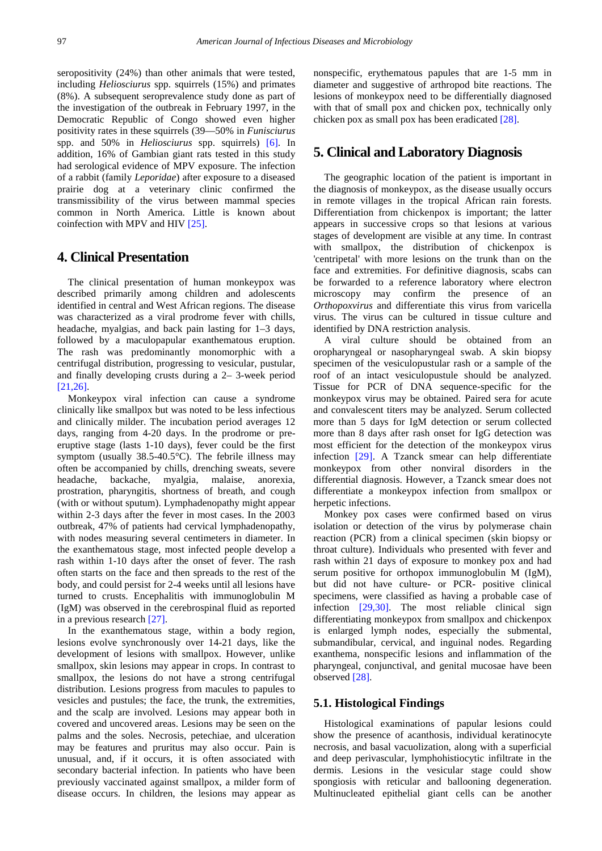seropositivity (24%) than other animals that were tested, including *Heliosciurus* spp. squirrels (15%) and primates (8%). A subsequent seroprevalence study done as part of the investigation of the outbreak in February 1997, in the Democratic Republic of Congo showed even higher positivity rates in these squirrels (39—50% in *Funisciurus*  spp. and 50% in *Heliosciurus* spp. squirrels) [\[6\].](#page-5-5) In addition, 16% of Gambian giant rats tested in this study had serological evidence of MPV exposure. The infection of a rabbit (family *Leporidae*) after exposure to a diseased prairie dog at a veterinary clinic confirmed the transmissibility of the virus between mammal species common in North America. Little is known about coinfection with MPV and HIV [\[25\].](#page-5-19)

## **4. Clinical Presentation**

The clinical presentation of human monkeypox was described primarily among children and adolescents identified in central and West African regions. The disease was characterized as a viral prodrome fever with chills, headache, myalgias, and back pain lasting for 1–3 days, followed by a maculopapular exanthematous eruption. The rash was predominantly monomorphic with a centrifugal distribution, progressing to vesicular, pustular, and finally developing crusts during a 2– 3-week period [\[21,26\].](#page-5-15)

Monkeypox viral infection can cause a syndrome clinically like smallpox but was noted to be less infectious and clinically milder. The incubation period averages 12 days, ranging from 4-20 days. In the prodrome or preeruptive stage (lasts 1-10 days), fever could be the first symptom (usually 38.5-40.5°C). The febrile illness may often be accompanied by chills, drenching sweats, severe headache, backache, myalgia, malaise, anorexia, prostration, pharyngitis, shortness of breath, and cough (with or without sputum). Lymphadenopathy might appear within 2-3 days after the fever in most cases. In the 2003 outbreak, 47% of patients had cervical lymphadenopathy, with nodes measuring several centimeters in diameter. In the exanthematous stage, most infected people develop a rash within 1-10 days after the onset of fever. The rash often starts on the face and then spreads to the rest of the body, and could persist for 2-4 weeks until all lesions have turned to crusts. Encephalitis with immunoglobulin M (IgM) was observed in the cerebrospinal fluid as reported in a previous researc[h \[27\].](#page-5-20)

In the exanthematous stage, within a body region, lesions evolve synchronously over 14-21 days, like the development of lesions with smallpox. However, unlike smallpox, skin lesions may appear in crops. In contrast to smallpox, the lesions do not have a strong centrifugal distribution. Lesions progress from macules to papules to vesicles and pustules; the face, the trunk, the extremities, and the scalp are involved. Lesions may appear both in covered and uncovered areas. Lesions may be seen on the palms and the soles. Necrosis, petechiae, and ulceration may be features and pruritus may also occur. Pain is unusual, and, if it occurs, it is often associated with secondary bacterial infection. In patients who have been previously vaccinated against smallpox, a milder form of disease occurs. In children, the lesions may appear as

nonspecific, erythematous papules that are 1-5 mm in diameter and suggestive of arthropod bite reactions. The lesions of monkeypox need to be differentially diagnosed with that of small pox and chicken pox, technically only chicken pox as small pox has been eradicate[d \[28\].](#page-5-21)

## **5. Clinical and Laboratory Diagnosis**

The geographic location of the patient is important in the diagnosis of monkeypox, as the disease usually occurs in remote villages in the tropical African rain forests. Differentiation from chickenpox is important; the latter appears in successive crops so that lesions at various stages of development are visible at any time. In contrast with smallpox, the distribution of chickenpox is 'centripetal' with more lesions on the trunk than on the face and extremities. For definitive diagnosis, scabs can be forwarded to a reference laboratory where electron microscopy may confirm the presence of an *Orthopoxvirus* and differentiate this virus from varicella virus. The virus can be cultured in tissue culture and identified by DNA restriction analysis.

A viral culture should be obtained from an oropharyngeal or nasopharyngeal swab. A skin biopsy specimen of the vesiculopustular rash or a sample of the roof of an intact vesiculopustule should be analyzed. Tissue for PCR of DNA sequence-specific for the monkeypox virus may be obtained. Paired sera for acute and convalescent titers may be analyzed. Serum collected more than 5 days for IgM detection or serum collected more than 8 days after rash onset for IgG detection was most efficient for the detection of the monkeypox virus infection [\[29\].](#page-5-22) A Tzanck smear can help differentiate monkeypox from other nonviral disorders in the differential diagnosis. However, a Tzanck smear does not differentiate a monkeypox infection from smallpox or herpetic infections.

Monkey pox cases were confirmed based on virus isolation or detection of the virus by polymerase chain reaction (PCR) from a clinical specimen (skin biopsy or throat culture). Individuals who presented with fever and rash within 21 days of exposure to monkey pox and had serum positive for orthopox immunoglobulin M (IgM), but did not have culture- or PCR- positive clinical specimens, were classified as having a probable case of infection [\[29,30\].](#page-5-22) The most reliable clinical sign differentiating monkeypox from smallpox and chickenpox is enlarged lymph nodes, especially the submental, submandibular, cervical, and inguinal nodes. Regarding exanthema, nonspecific lesions and inflammation of the pharyngeal, conjunctival, and genital mucosae have been observed [\[28\].](#page-5-21)

#### **5.1. Histological Findings**

Histological examinations of papular lesions could show the presence of acanthosis, individual keratinocyte necrosis, and basal vacuolization, along with a superficial and deep perivascular, lymphohistiocytic infiltrate in the dermis. Lesions in the vesicular stage could show spongiosis with reticular and ballooning degeneration. Multinucleated epithelial giant cells can be another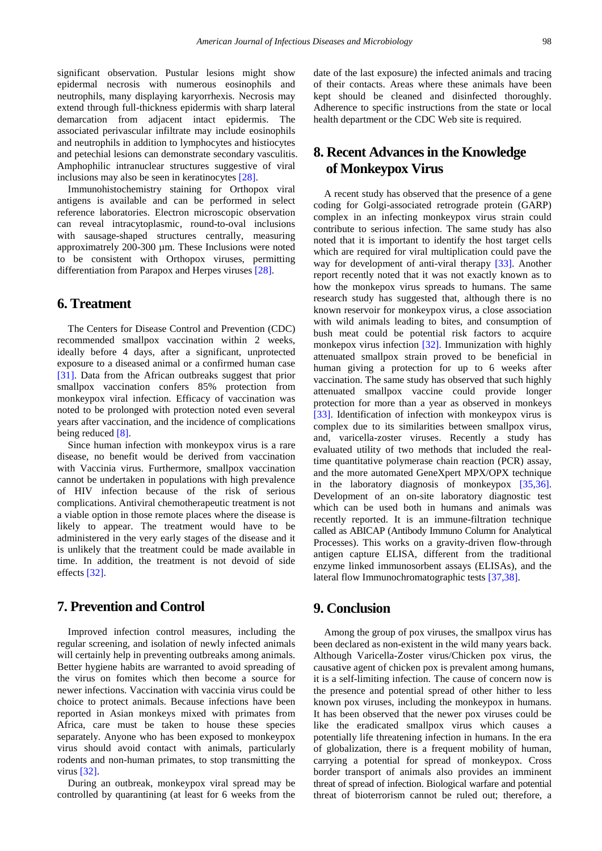significant observation. Pustular lesions might show epidermal necrosis with numerous eosinophils and neutrophils, many displaying karyorrhexis. Necrosis may extend through full-thickness epidermis with sharp lateral demarcation from adjacent intact epidermis. The associated perivascular infiltrate may include eosinophils and neutrophils in addition to lymphocytes and histiocytes and petechial lesions can demonstrate secondary vasculitis. Amphophilic intranuclear structures suggestive of viral inclusions may also be seen in keratinocytes [\[28\].](#page-5-21)

Immunohistochemistry staining for Orthopox viral antigens is available and can be performed in select reference laboratories. Electron microscopic observation can reveal intracytoplasmic, round-to-oval inclusions with sausage-shaped structures centrally, measuring approximatrely 200-300 µm. These Inclusions were noted to be consistent with Orthopox viruses, permitting differentiation from Parapox and Herpes viruses [\[28\].](#page-5-21)

## **6. Treatment**

The Centers for Disease Control and Prevention (CDC) recommended smallpox vaccination within 2 weeks, ideally before 4 days, after a significant, unprotected exposure to a diseased animal or a confirmed human case [\[31\].](#page-5-23) Data from the African outbreaks suggest that prior smallpox vaccination confers 85% protection from monkeypox viral infection. Efficacy of vaccination was noted to be prolonged with protection noted even several years after vaccination, and the incidence of complications being reduced [\[8\].](#page-5-3)

Since human infection with monkeypox virus is a rare disease, no benefit would be derived from vaccination with Vaccinia virus. Furthermore, smallpox vaccination cannot be undertaken in populations with high prevalence of HIV infection because of the risk of serious complications. Antiviral chemotherapeutic treatment is not a viable option in those remote places where the disease is likely to appear. The treatment would have to be administered in the very early stages of the disease and it is unlikely that the treatment could be made available in time. In addition, the treatment is not devoid of side effects [\[32\].](#page-5-24)

## **7. Prevention and Control**

Improved infection control measures, including the regular screening, and isolation of newly infected animals will certainly help in preventing outbreaks among animals. Better hygiene habits are warranted to avoid spreading of the virus on fomites which then become a source for newer infections. Vaccination with vaccinia virus could be choice to protect animals. Because infections have been reported in Asian monkeys mixed with primates from Africa, care must be taken to house these species separately. Anyone who has been exposed to monkeypox virus should avoid contact with animals, particularly rodents and non-human primates, to stop transmitting the virus [\[32\].](#page-5-24)

During an outbreak, monkeypox viral spread may be controlled by quarantining (at least for 6 weeks from the date of the last exposure) the infected animals and tracing of their contacts. Areas where these animals have been kept should be cleaned and disinfected thoroughly. Adherence to specific instructions from the state or local health department or the CDC Web site is required.

# **8. Recent Advances in the Knowledge of Monkeypox Virus**

A recent study has observed that the presence of a gene coding for Golgi-associated retrograde protein (GARP) complex in an infecting monkeypox virus strain could contribute to serious infection. The same study has also noted that it is important to identify the host target cells which are required for viral multiplication could pave the way for development of anti-viral therapy [\[33\].](#page-5-25) Another report recently noted that it was not exactly known as to how the monkepox virus spreads to humans. The same research study has suggested that, although there is no known reservoir for monkeypox virus, a close association with wild animals leading to bites, and consumption of bush meat could be potential risk factors to acquire monkepox virus infection [\[32\].](#page-5-24) Immunization with highly attenuated smallpox strain proved to be beneficial in human giving a protection for up to 6 weeks after vaccination. The same study has observed that such highly attenuated smallpox vaccine could provide longer protection for more than a year as observed in monkeys [\[33\].](#page-5-25) Identification of infection with monkeypox virus is complex due to its similarities between smallpox virus, and, varicella-zoster viruses. Recently a study has evaluated utility of two methods that included the realtime quantitative polymerase chain reaction (PCR) assay, and the more automated GeneXpert MPX/OPX technique in the laboratory diagnosis of monkeypox [\[35,36\].](#page-5-26) Development of an on-site laboratory diagnostic test which can be used both in humans and animals was recently reported. It is an immune-filtration technique called as ABICAP (Antibody Immuno Column for Analytical Processes). This works on a gravity-driven flow-through antigen capture ELISA, different from the traditional enzyme linked immunosorbent assays (ELISAs), and the lateral flow Immunochromatographic tests [\[37,38\].](#page-5-27)

#### **9. Conclusion**

Among the group of pox viruses, the smallpox virus has been declared as non-existent in the wild many years back. Although Varicella-Zoster virus/Chicken pox virus, the causative agent of chicken pox is prevalent among humans, it is a self-limiting infection. The cause of concern now is the presence and potential spread of other hither to less known pox viruses, including the monkeypox in humans. It has been observed that the newer pox viruses could be like the eradicated smallpox virus which causes a potentially life threatening infection in humans. In the era of globalization, there is a frequent mobility of human, carrying a potential for spread of monkeypox. Cross border transport of animals also provides an imminent threat of spread of infection. Biological warfare and potential threat of bioterrorism cannot be ruled out; therefore, a